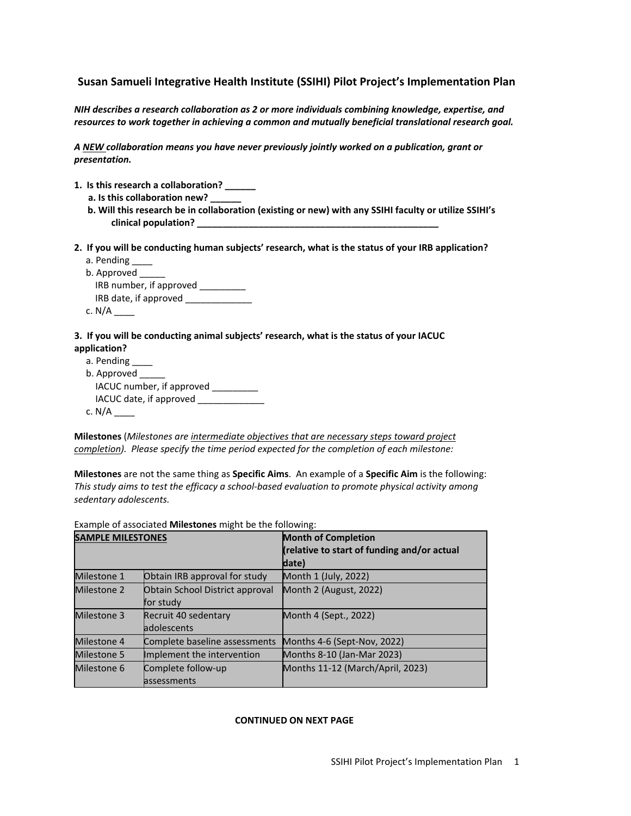# **Susan Samueli Integrative Health Institute (SSIHI) Pilot Project's Implementation Plan**

*NIH describes a research collaboration as 2 or more individuals combining knowledge, expertise, and resources to work together in achieving a common and mutually beneficial translational research goal.*

*A NEW collaboration means you have never previously jointly worked on a publication, grant or presentation.*

- **1. Is this research a collaboration? \_\_\_\_\_\_**
	- **a. Is this collaboration new? \_\_\_\_\_\_**
	- **b. Will this research be in collaboration (existing or new) with any SSIHI faculty or utilize SSIHI's clinical population? \_\_\_\_\_\_\_\_\_\_\_\_\_\_\_\_\_\_\_\_\_\_\_\_\_\_\_\_\_\_\_\_\_\_\_\_\_\_\_\_\_\_\_\_\_\_\_**
- **2. If you will be conducting human subjects' research, what is the status of your IRB application?**
	- a. Pending \_\_\_\_
	- b. Approved IRB number, if approved \_\_\_\_\_\_\_\_\_ IRB date, if approved \_\_\_\_\_\_\_\_\_\_\_\_\_ c. N/A \_\_\_\_

#### **3. If you will be conducting animal subjects' research, what is the status of your IACUC application?**

| a. Pending                |
|---------------------------|
| b. Approved               |
| IACUC number, if approved |
| IACUC date, if approved   |
| c. $N/A$                  |

**Milestones** (*Milestones are intermediate objectives that are necessary steps toward project completion). Please specify the time period expected for the completion of each milestone:*

**Milestones** are not the same thing as **Specific Aims**. An example of a **Specific Aim** is the following: *This study aims to test the efficacy a school-based evaluation to promote physical activity among sedentary adolescents.*

Example of associated **Milestones** might be the following:

| <b>SAMPLE MILESTONES</b> |                                              | <b>Month of Completion</b><br>(relative to start of funding and/or actual<br>date) |
|--------------------------|----------------------------------------------|------------------------------------------------------------------------------------|
| Milestone 1              | Obtain IRB approval for study                | Month 1 (July, 2022)                                                               |
| Milestone 2              | Obtain School District approval<br>for study | Month 2 (August, 2022)                                                             |
| Milestone 3              | Recruit 40 sedentary<br><b>adolescents</b>   | Month 4 (Sept., 2022)                                                              |
| Milestone 4              | Complete baseline assessments                | Months 4-6 (Sept-Nov, 2022)                                                        |
| Milestone 5              | Implement the intervention                   | Months 8-10 (Jan-Mar 2023)                                                         |
| Milestone 6              | Complete follow-up<br><b>lassessments</b>    | Months 11-12 (March/April, 2023)                                                   |

### **CONTINUED ON NEXT PAGE**